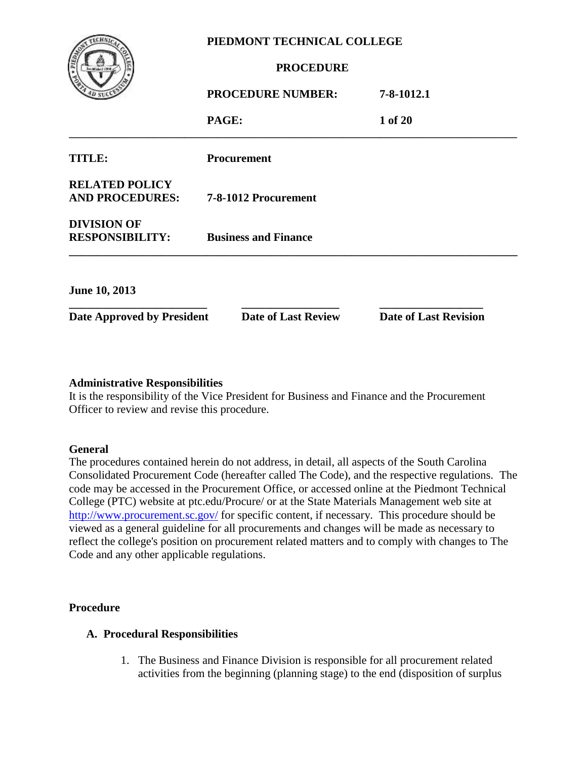| PIEDMONT TECHNICAL COLLEGE                      |                             |                              |  |
|-------------------------------------------------|-----------------------------|------------------------------|--|
|                                                 | <b>PROCEDURE</b>            |                              |  |
|                                                 | <b>PROCEDURE NUMBER:</b>    | 7-8-1012.1                   |  |
|                                                 | PAGE:                       | 1 of 20                      |  |
| TITLE:                                          | <b>Procurement</b>          |                              |  |
| <b>RELATED POLICY</b><br><b>AND PROCEDURES:</b> | 7-8-1012 Procurement        |                              |  |
| <b>DIVISION OF</b><br><b>RESPONSIBILITY:</b>    | <b>Business and Finance</b> |                              |  |
| <b>June 10, 2013</b>                            |                             |                              |  |
| <b>Date Approved by President</b>               | <b>Date of Last Review</b>  | <b>Date of Last Revision</b> |  |

#### **Administrative Responsibilities**

It is the responsibility of the Vice President for Business and Finance and the Procurement Officer to review and revise this procedure.

#### **General**

The procedures contained herein do not address, in detail, all aspects of the South Carolina Consolidated Procurement Code (hereafter called The Code), and the respective regulations. The code may be accessed in the Procurement Office, or accessed online at the Piedmont Technical College (PTC) website at ptc.edu/Procure/ or at the State Materials Management web site at <http://www.procurement.sc.gov/> for specific content, if necessary. This procedure should be viewed as a general guideline for all procurements and changes will be made as necessary to reflect the college's position on procurement related matters and to comply with changes to The Code and any other applicable regulations.

#### **Procedure**

#### **A. Procedural Responsibilities**

1. The Business and Finance Division is responsible for all procurement related activities from the beginning (planning stage) to the end (disposition of surplus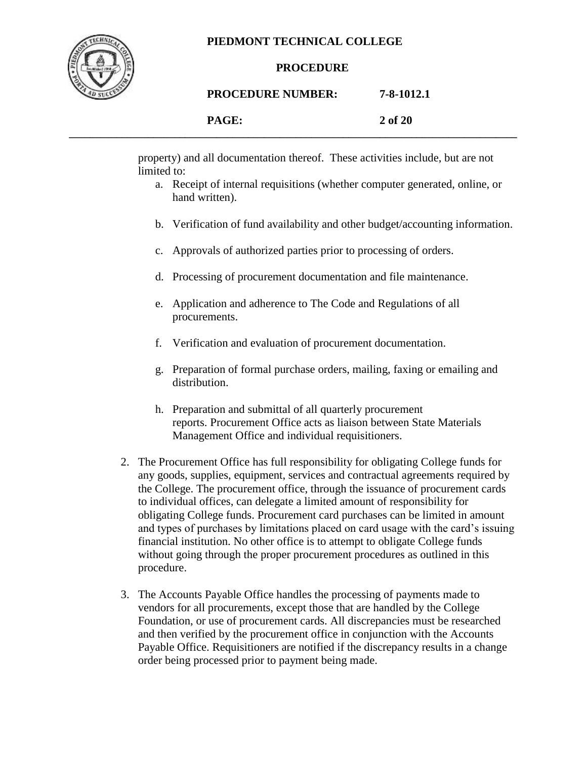

#### **PROCEDURE**

#### **PROCEDURE NUMBER: 7-8-1012.1**

|  | 2 of 20<br>$\sim$ |
|--|-------------------|
|  |                   |

property) and all documentation thereof. These activities include, but are not limited to:

- a. Receipt of internal requisitions (whether computer generated, online, or hand written).
- b. Verification of fund availability and other budget/accounting information.
- c. Approvals of authorized parties prior to processing of orders.
- d. Processing of procurement documentation and file maintenance.
- e. Application and adherence to The Code and Regulations of all procurements.
- f. Verification and evaluation of procurement documentation.
- g. Preparation of formal purchase orders, mailing, faxing or emailing and distribution.
- h. Preparation and submittal of all quarterly procurement reports. Procurement Office acts as liaison between State Materials Management Office and individual requisitioners.
- 2. The Procurement Office has full responsibility for obligating College funds for any goods, supplies, equipment, services and contractual agreements required by the College. The procurement office, through the issuance of procurement cards to individual offices, can delegate a limited amount of responsibility for obligating College funds. Procurement card purchases can be limited in amount and types of purchases by limitations placed on card usage with the card's issuing financial institution. No other office is to attempt to obligate College funds without going through the proper procurement procedures as outlined in this procedure.
- 3. The Accounts Payable Office handles the processing of payments made to vendors for all procurements, except those that are handled by the College Foundation, or use of procurement cards. All discrepancies must be researched and then verified by the procurement office in conjunction with the Accounts Payable Office. Requisitioners are notified if the discrepancy results in a change order being processed prior to payment being made.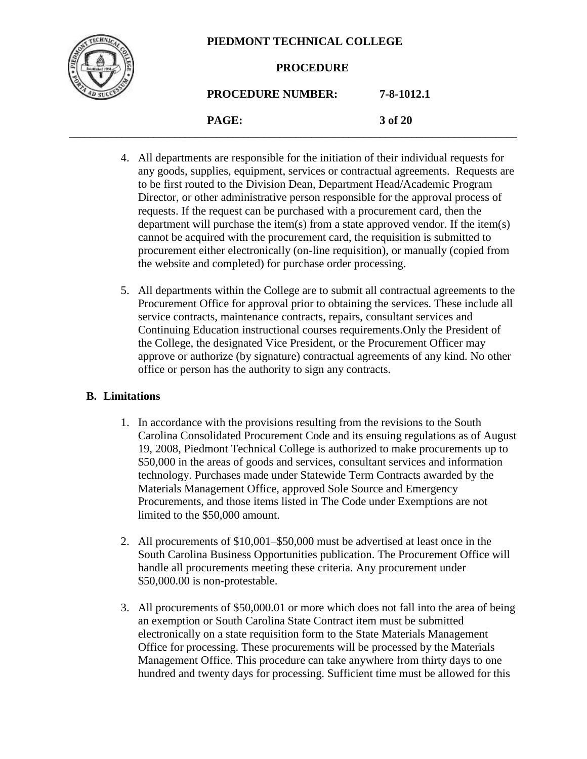

#### **PROCEDURE**

# **PROCEDURE NUMBER: 7-8-1012.1**

**PAGE: 3 of 20 \_\_\_\_\_\_\_\_\_\_\_\_\_\_\_\_\_\_\_\_\_\_\_\_\_\_\_\_\_\_\_\_\_\_\_\_\_\_\_\_\_\_\_\_\_\_\_\_\_\_\_\_\_\_\_\_\_\_\_\_\_\_\_\_\_\_\_\_\_\_\_\_\_\_\_\_\_\_\_\_\_\_\_\_\_**

- 4. All departments are responsible for the initiation of their individual requests for any goods, supplies, equipment, services or contractual agreements. Requests are to be first routed to the Division Dean, Department Head/Academic Program Director, or other administrative person responsible for the approval process of requests. If the request can be purchased with a procurement card, then the department will purchase the item(s) from a state approved vendor. If the item(s) cannot be acquired with the procurement card, the requisition is submitted to procurement either electronically (on-line requisition), or manually (copied from the website and completed) for purchase order processing.
- 5. All departments within the College are to submit all contractual agreements to the Procurement Office for approval prior to obtaining the services. These include all service contracts, maintenance contracts, repairs, consultant services and Continuing Education instructional courses requirements.Only the President of the College, the designated Vice President, or the Procurement Officer may approve or authorize (by signature) contractual agreements of any kind. No other office or person has the authority to sign any contracts.

# **B. Limitations**

- 1. In accordance with the provisions resulting from the revisions to the South Carolina Consolidated Procurement Code and its ensuing regulations as of August 19, 2008, Piedmont Technical College is authorized to make procurements up to \$50,000 in the areas of goods and services, consultant services and information technology. Purchases made under Statewide Term Contracts awarded by the Materials Management Office, approved Sole Source and Emergency Procurements, and those items listed in The Code under Exemptions are not limited to the \$50,000 amount.
- 2. All procurements of \$10,001–\$50,000 must be advertised at least once in the South Carolina Business Opportunities publication. The Procurement Office will handle all procurements meeting these criteria. Any procurement under \$50,000.00 is non-protestable.
- 3. All procurements of \$50,000.01 or more which does not fall into the area of being an exemption or South Carolina State Contract item must be submitted electronically on a state requisition form to the State Materials Management Office for processing. These procurements will be processed by the Materials Management Office. This procedure can take anywhere from thirty days to one hundred and twenty days for processing. Sufficient time must be allowed for this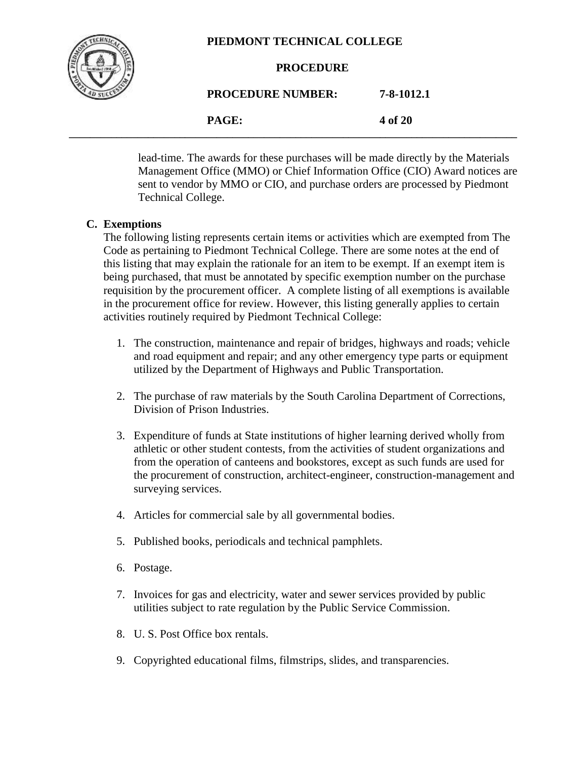

lead-time. The awards for these purchases will be made directly by the Materials Management Office (MMO) or Chief Information Office (CIO) Award notices are sent to vendor by MMO or CIO, and purchase orders are processed by Piedmont Technical College.

# **C. Exemptions**

The following listing represents certain items or activities which are exempted from The Code as pertaining to Piedmont Technical College. There are some notes at the end of this listing that may explain the rationale for an item to be exempt. If an exempt item is being purchased, that must be annotated by specific exemption number on the purchase requisition by the procurement officer. A complete listing of all exemptions is available in the procurement office for review. However, this listing generally applies to certain activities routinely required by Piedmont Technical College:

- 1. The construction, maintenance and repair of bridges, highways and roads; vehicle and road equipment and repair; and any other emergency type parts or equipment utilized by the Department of Highways and Public Transportation.
- 2. The purchase of raw materials by the South Carolina Department of Corrections, Division of Prison Industries.
- 3. Expenditure of funds at State institutions of higher learning derived wholly from athletic or other student contests, from the activities of student organizations and from the operation of canteens and bookstores, except as such funds are used for the procurement of construction, architect-engineer, construction-management and surveying services.
- 4. Articles for commercial sale by all governmental bodies.
- 5. Published books, periodicals and technical pamphlets.
- 6. Postage.
- 7. Invoices for gas and electricity, water and sewer services provided by public utilities subject to rate regulation by the Public Service Commission.
- 8. U. S. Post Office box rentals.
- 9. Copyrighted educational films, filmstrips, slides, and transparencies.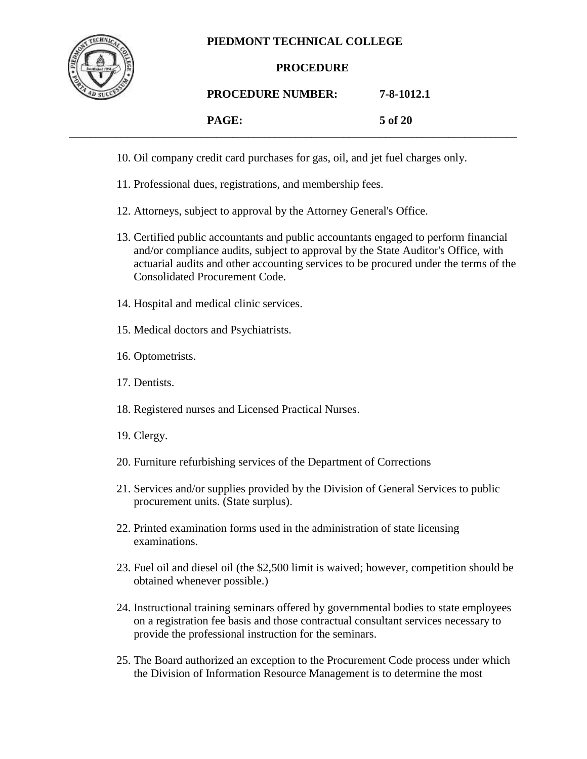

# **PROCEDURE**

### **PROCEDURE NUMBER: 7-8-1012.1**

| PAGE: | 5 of 20 |
|-------|---------|
|-------|---------|

- 
- **\_\_\_\_\_\_\_\_\_\_\_\_\_\_\_\_\_\_\_\_\_\_\_\_\_\_\_\_\_\_\_\_\_\_\_\_\_\_\_\_\_\_\_\_\_\_\_\_\_\_\_\_\_\_\_\_\_\_\_\_\_\_\_\_\_\_\_\_\_\_\_\_\_\_\_\_\_\_\_\_\_\_\_\_\_** 10. Oil company credit card purchases for gas, oil, and jet fuel charges only.
	- 11. Professional dues, registrations, and membership fees.
	- 12. Attorneys, subject to approval by the Attorney General's Office.
	- 13. Certified public accountants and public accountants engaged to perform financial and/or compliance audits, subject to approval by the State Auditor's Office, with actuarial audits and other accounting services to be procured under the terms of the Consolidated Procurement Code.
	- 14. Hospital and medical clinic services.
	- 15. Medical doctors and Psychiatrists.
	- 16. Optometrists.
	- 17. Dentists.
	- 18. Registered nurses and Licensed Practical Nurses.
	- 19. Clergy.
	- 20. Furniture refurbishing services of the Department of Corrections
	- 21. Services and/or supplies provided by the Division of General Services to public procurement units. (State surplus).
	- 22. Printed examination forms used in the administration of state licensing examinations.
	- 23. Fuel oil and diesel oil (the \$2,500 limit is waived; however, competition should be obtained whenever possible.)
	- 24. Instructional training seminars offered by governmental bodies to state employees on a registration fee basis and those contractual consultant services necessary to provide the professional instruction for the seminars.
	- 25. The Board authorized an exception to the Procurement Code process under which the Division of Information Resource Management is to determine the most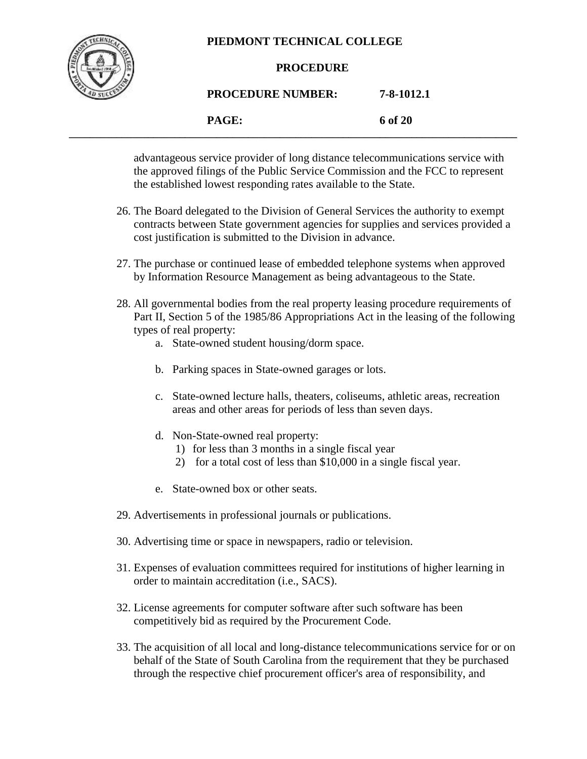

#### **PROCEDURE**

# **PROCEDURE NUMBER: 7-8-1012.1**

**PAGE: 6 of 20 \_\_\_\_\_\_\_\_\_\_\_\_\_\_\_\_\_\_\_\_\_\_\_\_\_\_\_\_\_\_\_\_\_\_\_\_\_\_\_\_\_\_\_\_\_\_\_\_\_\_\_\_\_\_\_\_\_\_\_\_\_\_\_\_\_\_\_\_\_\_\_\_\_\_\_\_\_\_\_\_\_\_\_\_\_**

> advantageous service provider of long distance telecommunications service with the approved filings of the Public Service Commission and the FCC to represent the established lowest responding rates available to the State.

- 26. The Board delegated to the Division of General Services the authority to exempt contracts between State government agencies for supplies and services provided a cost justification is submitted to the Division in advance.
- 27. The purchase or continued lease of embedded telephone systems when approved by Information Resource Management as being advantageous to the State.
- 28. All governmental bodies from the real property leasing procedure requirements of Part II, Section 5 of the 1985/86 Appropriations Act in the leasing of the following types of real property:
	- a. State-owned student housing/dorm space.
	- b. Parking spaces in State-owned garages or lots.
	- c. State-owned lecture halls, theaters, coliseums, athletic areas, recreation areas and other areas for periods of less than seven days.
	- d. Non-State-owned real property:
		- 1) for less than 3 months in a single fiscal year
		- 2) for a total cost of less than \$10,000 in a single fiscal year.
	- e. State-owned box or other seats.
- 29. Advertisements in professional journals or publications.
- 30. Advertising time or space in newspapers, radio or television.
- 31. Expenses of evaluation committees required for institutions of higher learning in order to maintain accreditation (i.e., SACS).
- 32. License agreements for computer software after such software has been competitively bid as required by the Procurement Code.
- 33. The acquisition of all local and long-distance telecommunications service for or on behalf of the State of South Carolina from the requirement that they be purchased through the respective chief procurement officer's area of responsibility, and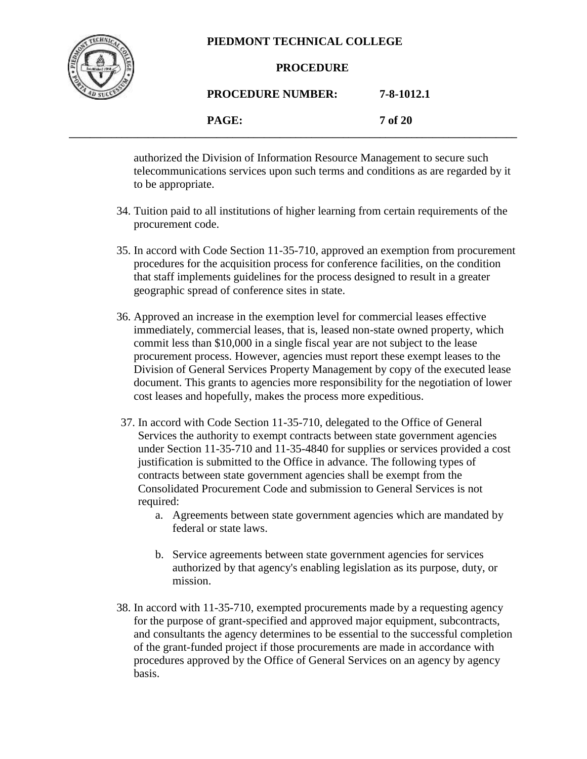

#### **PROCEDURE**

**PROCEDURE NUMBER: 7-8-1012.1**

**PAGE: 7 of 20 \_\_\_\_\_\_\_\_\_\_\_\_\_\_\_\_\_\_\_\_\_\_\_\_\_\_\_\_\_\_\_\_\_\_\_\_\_\_\_\_\_\_\_\_\_\_\_\_\_\_\_\_\_\_\_\_\_\_\_\_\_\_\_\_\_\_\_\_\_\_\_\_\_\_\_\_\_\_\_\_\_\_\_\_\_**

> authorized the Division of Information Resource Management to secure such telecommunications services upon such terms and conditions as are regarded by it to be appropriate.

- 34. Tuition paid to all institutions of higher learning from certain requirements of the procurement code.
- 35. In accord with Code Section 11-35-710, approved an exemption from procurement procedures for the acquisition process for conference facilities, on the condition that staff implements guidelines for the process designed to result in a greater geographic spread of conference sites in state.
- 36. Approved an increase in the exemption level for commercial leases effective immediately, commercial leases, that is, leased non-state owned property, which commit less than \$10,000 in a single fiscal year are not subject to the lease procurement process. However, agencies must report these exempt leases to the Division of General Services Property Management by copy of the executed lease document. This grants to agencies more responsibility for the negotiation of lower cost leases and hopefully, makes the process more expeditious.
- 37. In accord with Code Section 11-35-710, delegated to the Office of General Services the authority to exempt contracts between state government agencies under Section 11-35-710 and 11-35-4840 for supplies or services provided a cost justification is submitted to the Office in advance. The following types of contracts between state government agencies shall be exempt from the Consolidated Procurement Code and submission to General Services is not required:
	- a. Agreements between state government agencies which are mandated by federal or state laws.
	- b. Service agreements between state government agencies for services authorized by that agency's enabling legislation as its purpose, duty, or mission.
- 38. In accord with 11-35-710, exempted procurements made by a requesting agency for the purpose of grant-specified and approved major equipment, subcontracts, and consultants the agency determines to be essential to the successful completion of the grant-funded project if those procurements are made in accordance with procedures approved by the Office of General Services on an agency by agency basis.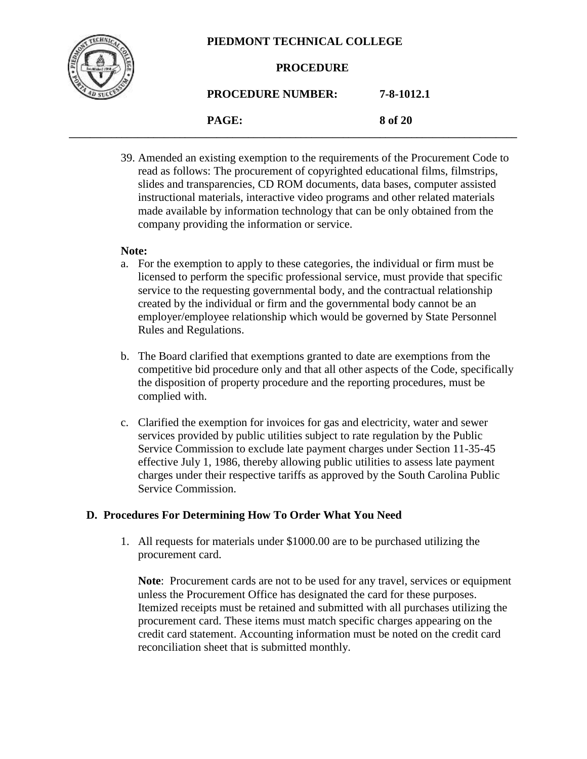

#### **PROCEDURE**

**PROCEDURE NUMBER: 7-8-1012.1**

**PAGE: 8 of 20 \_\_\_\_\_\_\_\_\_\_\_\_\_\_\_\_\_\_\_\_\_\_\_\_\_\_\_\_\_\_\_\_\_\_\_\_\_\_\_\_\_\_\_\_\_\_\_\_\_\_\_\_\_\_\_\_\_\_\_\_\_\_\_\_\_\_\_\_\_\_\_\_\_\_\_\_\_\_\_\_\_\_\_\_\_**

> 39. Amended an existing exemption to the requirements of the Procurement Code to read as follows: The procurement of copyrighted educational films, filmstrips, slides and transparencies, CD ROM documents, data bases, computer assisted instructional materials, interactive video programs and other related materials made available by information technology that can be only obtained from the company providing the information or service.

#### **Note:**

- a. For the exemption to apply to these categories, the individual or firm must be licensed to perform the specific professional service, must provide that specific service to the requesting governmental body, and the contractual relationship created by the individual or firm and the governmental body cannot be an employer/employee relationship which would be governed by State Personnel Rules and Regulations.
- b. The Board clarified that exemptions granted to date are exemptions from the competitive bid procedure only and that all other aspects of the Code, specifically the disposition of property procedure and the reporting procedures, must be complied with.
- c. Clarified the exemption for invoices for gas and electricity, water and sewer services provided by public utilities subject to rate regulation by the Public Service Commission to exclude late payment charges under Section 11-35-45 effective July 1, 1986, thereby allowing public utilities to assess late payment charges under their respective tariffs as approved by the South Carolina Public Service Commission.

#### **D. Procedures For Determining How To Order What You Need**

1. All requests for materials under \$1000.00 are to be purchased utilizing the procurement card.

**Note**: Procurement cards are not to be used for any travel, services or equipment unless the Procurement Office has designated the card for these purposes. Itemized receipts must be retained and submitted with all purchases utilizing the procurement card. These items must match specific charges appearing on the credit card statement. Accounting information must be noted on the credit card reconciliation sheet that is submitted monthly.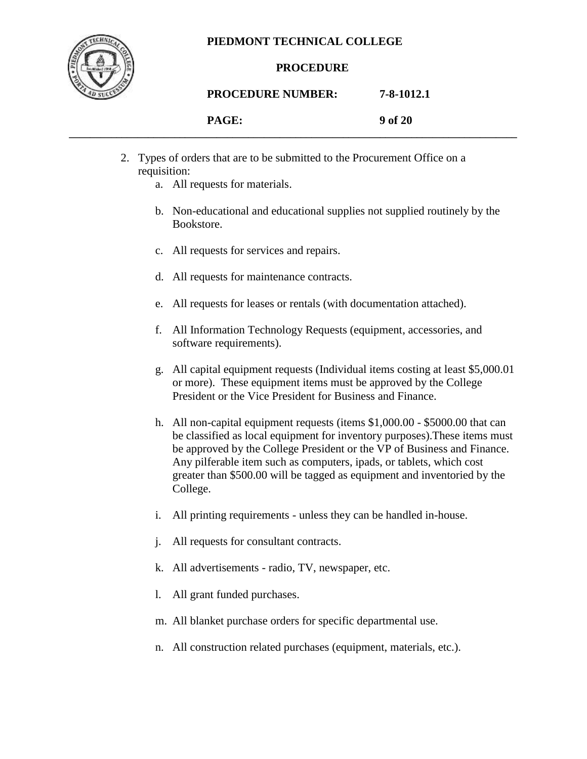

#### **PROCEDURE**

#### **PROCEDURE NUMBER: 7-8-1012.1**

| <b>DACE</b><br>TITOLI. | 9 of 20 |
|------------------------|---------|
|                        |         |

- 2. Types of orders that are to be submitted to the Procurement Office on a requisition:
	- a. All requests for materials.
	- b. Non-educational and educational supplies not supplied routinely by the Bookstore.
	- c. All requests for services and repairs.
	- d. All requests for maintenance contracts.
	- e. All requests for leases or rentals (with documentation attached).
	- f. All Information Technology Requests (equipment, accessories, and software requirements).
	- g. All capital equipment requests (Individual items costing at least \$5,000.01 or more). These equipment items must be approved by the College President or the Vice President for Business and Finance.
	- h. All non-capital equipment requests (items \$1,000.00 \$5000.00 that can be classified as local equipment for inventory purposes).These items must be approved by the College President or the VP of Business and Finance. Any pilferable item such as computers, ipads, or tablets, which cost greater than \$500.00 will be tagged as equipment and inventoried by the College.
	- i. All printing requirements unless they can be handled in-house.
	- j. All requests for consultant contracts.
	- k. All advertisements radio, TV, newspaper, etc.
	- l. All grant funded purchases.
	- m. All blanket purchase orders for specific departmental use.
	- n. All construction related purchases (equipment, materials, etc.).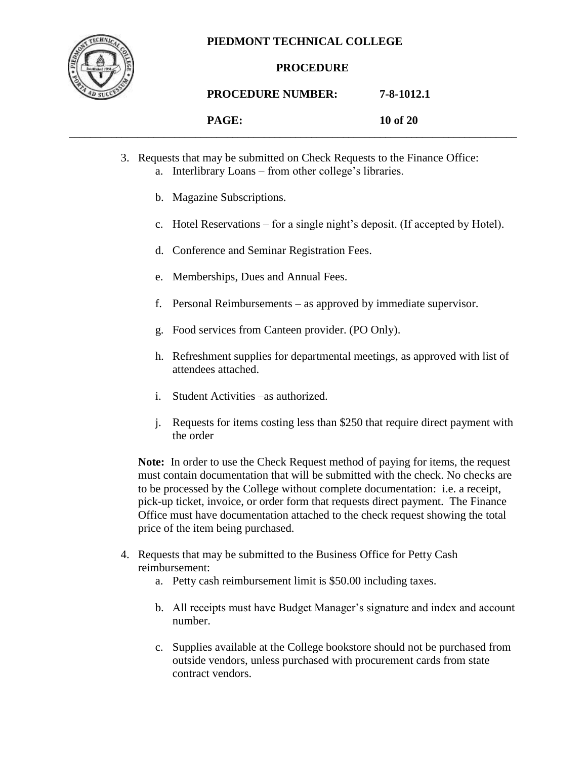

### **PROCEDURE**

**PROCEDURE NUMBER: 7-8-1012.1**

|  |  | PACF<br>I AUL. | 10 of 20 |
|--|--|----------------|----------|
|--|--|----------------|----------|

- 3. Requests that may be submitted on Check Requests to the Finance Office:
	- a. Interlibrary Loans from other college's libraries.
	- b. Magazine Subscriptions.
	- c. Hotel Reservations for a single night's deposit. (If accepted by Hotel).
	- d. Conference and Seminar Registration Fees.
	- e. Memberships, Dues and Annual Fees.
	- f. Personal Reimbursements as approved by immediate supervisor.
	- g. Food services from Canteen provider. (PO Only).
	- h. Refreshment supplies for departmental meetings, as approved with list of attendees attached.
	- i. Student Activities –as authorized.
	- j. Requests for items costing less than \$250 that require direct payment with the order

**Note:** In order to use the Check Request method of paying for items, the request must contain documentation that will be submitted with the check. No checks are to be processed by the College without complete documentation: i.e. a receipt, pick-up ticket, invoice, or order form that requests direct payment. The Finance Office must have documentation attached to the check request showing the total price of the item being purchased.

- 4. Requests that may be submitted to the Business Office for Petty Cash reimbursement:
	- a. Petty cash reimbursement limit is \$50.00 including taxes.
	- b. All receipts must have Budget Manager's signature and index and account number.
	- c. Supplies available at the College bookstore should not be purchased from outside vendors, unless purchased with procurement cards from state contract vendors.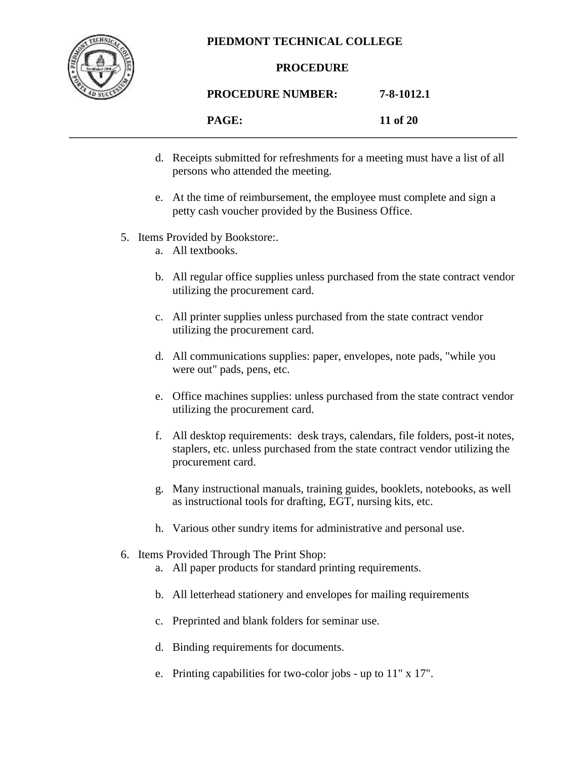

#### **PROCEDURE**

# **PROCEDURE NUMBER: 7-8-1012.1**

|  | $\mathbf{P}\Lambda \mathbf{C}\mathbf{F}$<br>11 of 20 |
|--|------------------------------------------------------|
|--|------------------------------------------------------|

- d. Receipts submitted for refreshments for a meeting must have a list of all persons who attended the meeting.
- e. At the time of reimbursement, the employee must complete and sign a petty cash voucher provided by the Business Office.
- 5. Items Provided by Bookstore:.
	- a. All textbooks.
	- b. All regular office supplies unless purchased from the state contract vendor utilizing the procurement card.
	- c. All printer supplies unless purchased from the state contract vendor utilizing the procurement card.
	- d. All communications supplies: paper, envelopes, note pads, "while you were out" pads, pens, etc.
	- e. Office machines supplies: unless purchased from the state contract vendor utilizing the procurement card.
	- f. All desktop requirements: desk trays, calendars, file folders, post-it notes, staplers, etc. unless purchased from the state contract vendor utilizing the procurement card.
	- g. Many instructional manuals, training guides, booklets, notebooks, as well as instructional tools for drafting, EGT, nursing kits, etc.
	- h. Various other sundry items for administrative and personal use.
- 6. Items Provided Through The Print Shop:
	- a. All paper products for standard printing requirements.
	- b. All letterhead stationery and envelopes for mailing requirements
	- c. Preprinted and blank folders for seminar use.
	- d. Binding requirements for documents.
	- e. Printing capabilities for two-color jobs up to 11" x 17".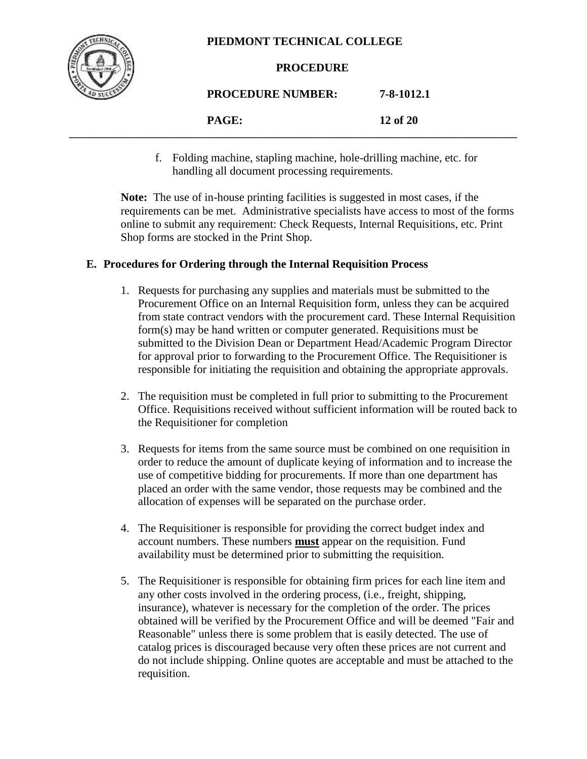

#### **PROCEDURE**

| <b>PROCEDURE NUMBER:</b> | 7-8-1012.1 |
|--------------------------|------------|
| PAGE:                    | 12 of 20   |

**\_\_\_\_\_\_\_\_\_\_\_\_\_\_\_\_\_\_\_\_\_\_\_\_\_\_\_\_\_\_\_\_\_\_\_\_\_\_\_\_\_\_\_\_\_\_\_\_\_\_\_\_\_\_\_\_\_\_\_\_\_\_\_\_\_\_\_\_\_\_\_\_\_\_\_\_\_\_\_\_\_\_\_\_\_**

f. Folding machine, stapling machine, hole-drilling machine, etc. for handling all document processing requirements.

**Note:** The use of in-house printing facilities is suggested in most cases, if the requirements can be met. Administrative specialists have access to most of the forms online to submit any requirement: Check Requests, Internal Requisitions, etc. Print Shop forms are stocked in the Print Shop.

# **E. Procedures for Ordering through the Internal Requisition Process**

- 1. Requests for purchasing any supplies and materials must be submitted to the Procurement Office on an Internal Requisition form, unless they can be acquired from state contract vendors with the procurement card. These Internal Requisition form(s) may be hand written or computer generated. Requisitions must be submitted to the Division Dean or Department Head/Academic Program Director for approval prior to forwarding to the Procurement Office. The Requisitioner is responsible for initiating the requisition and obtaining the appropriate approvals.
- 2. The requisition must be completed in full prior to submitting to the Procurement Office. Requisitions received without sufficient information will be routed back to the Requisitioner for completion
- 3. Requests for items from the same source must be combined on one requisition in order to reduce the amount of duplicate keying of information and to increase the use of competitive bidding for procurements. If more than one department has placed an order with the same vendor, those requests may be combined and the allocation of expenses will be separated on the purchase order.
- 4. The Requisitioner is responsible for providing the correct budget index and account numbers. These numbers **must** appear on the requisition. Fund availability must be determined prior to submitting the requisition.
- 5. The Requisitioner is responsible for obtaining firm prices for each line item and any other costs involved in the ordering process, (i.e., freight, shipping, insurance), whatever is necessary for the completion of the order. The prices obtained will be verified by the Procurement Office and will be deemed "Fair and Reasonable" unless there is some problem that is easily detected. The use of catalog prices is discouraged because very often these prices are not current and do not include shipping. Online quotes are acceptable and must be attached to the requisition.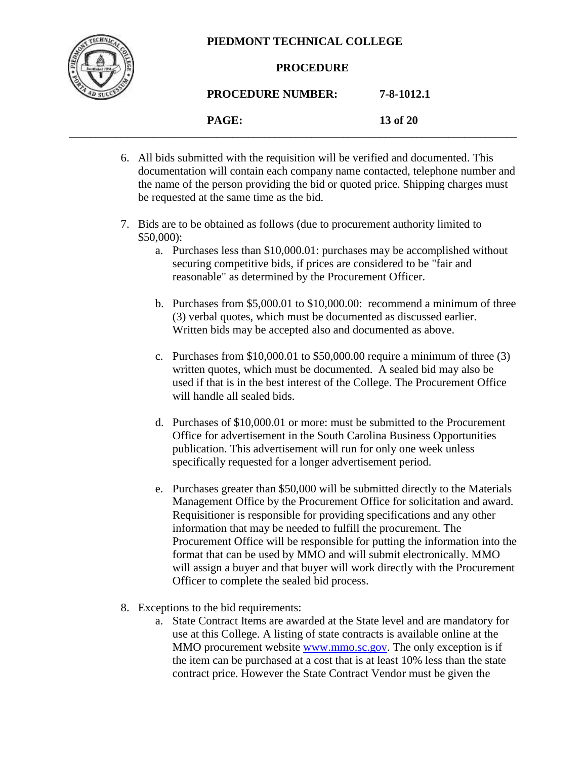

#### **PROCEDURE**

# **PROCEDURE NUMBER: 7-8-1012.1**

**PAGE: 13 of 20 \_\_\_\_\_\_\_\_\_\_\_\_\_\_\_\_\_\_\_\_\_\_\_\_\_\_\_\_\_\_\_\_\_\_\_\_\_\_\_\_\_\_\_\_\_\_\_\_\_\_\_\_\_\_\_\_\_\_\_\_\_\_\_\_\_\_\_\_\_\_\_\_\_\_\_\_\_\_\_\_\_\_\_\_\_**

- 6. All bids submitted with the requisition will be verified and documented. This documentation will contain each company name contacted, telephone number and the name of the person providing the bid or quoted price. Shipping charges must be requested at the same time as the bid.
- 7. Bids are to be obtained as follows (due to procurement authority limited to \$50,000):
	- a. Purchases less than \$10,000.01: purchases may be accomplished without securing competitive bids, if prices are considered to be "fair and reasonable" as determined by the Procurement Officer.
	- b. Purchases from \$5,000.01 to \$10,000.00: recommend a minimum of three (3) verbal quotes, which must be documented as discussed earlier. Written bids may be accepted also and documented as above.
	- c. Purchases from  $$10,000.01$  to  $$50,000.00$  require a minimum of three (3) written quotes, which must be documented. A sealed bid may also be used if that is in the best interest of the College. The Procurement Office will handle all sealed bids.
	- d. Purchases of \$10,000.01 or more: must be submitted to the Procurement Office for advertisement in the South Carolina Business Opportunities publication. This advertisement will run for only one week unless specifically requested for a longer advertisement period.
	- e. Purchases greater than \$50,000 will be submitted directly to the Materials Management Office by the Procurement Office for solicitation and award. Requisitioner is responsible for providing specifications and any other information that may be needed to fulfill the procurement. The Procurement Office will be responsible for putting the information into the format that can be used by MMO and will submit electronically. MMO will assign a buyer and that buyer will work directly with the Procurement Officer to complete the sealed bid process.
- 8. Exceptions to the bid requirements:
	- a. State Contract Items are awarded at the State level and are mandatory for use at this College. A listing of state contracts is available online at the MMO procurement website [www.mmo.sc.gov.](http://www.mmo.sc.gov/) The only exception is if the item can be purchased at a cost that is at least 10% less than the state contract price. However the State Contract Vendor must be given the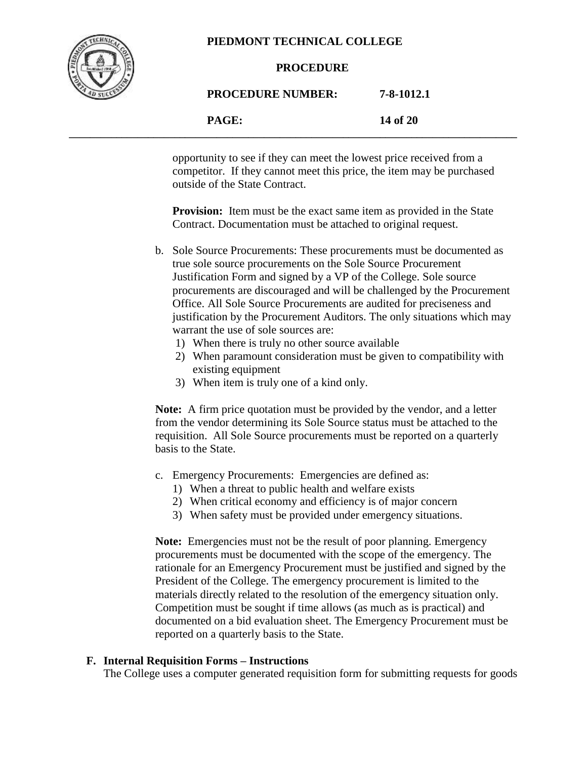

#### **PROCEDURE**

# **PROCEDURE NUMBER: 7-8-1012.1 PAGE: 14 of 20**

**\_\_\_\_\_\_\_\_\_\_\_\_\_\_\_\_\_\_\_\_\_\_\_\_\_\_\_\_\_\_\_\_\_\_\_\_\_\_\_\_\_\_\_\_\_\_\_\_\_\_\_\_\_\_\_\_\_\_\_\_\_\_\_\_\_\_\_\_\_\_\_\_\_\_\_\_\_\_\_\_\_\_\_\_\_**

opportunity to see if they can meet the lowest price received from a competitor. If they cannot meet this price, the item may be purchased outside of the State Contract.

**Provision:** Item must be the exact same item as provided in the State Contract. Documentation must be attached to original request.

- b. Sole Source Procurements: These procurements must be documented as true sole source procurements on the Sole Source Procurement Justification Form and signed by a VP of the College. Sole source procurements are discouraged and will be challenged by the Procurement Office. All Sole Source Procurements are audited for preciseness and justification by the Procurement Auditors. The only situations which may warrant the use of sole sources are:
	- 1) When there is truly no other source available
	- 2) When paramount consideration must be given to compatibility with existing equipment
	- 3) When item is truly one of a kind only.

**Note:** A firm price quotation must be provided by the vendor, and a letter from the vendor determining its Sole Source status must be attached to the requisition. All Sole Source procurements must be reported on a quarterly basis to the State.

- c. Emergency Procurements: Emergencies are defined as:
	- 1) When a threat to public health and welfare exists
	- 2) When critical economy and efficiency is of major concern
	- 3) When safety must be provided under emergency situations.

**Note:** Emergencies must not be the result of poor planning. Emergency procurements must be documented with the scope of the emergency. The rationale for an Emergency Procurement must be justified and signed by the President of the College. The emergency procurement is limited to the materials directly related to the resolution of the emergency situation only. Competition must be sought if time allows (as much as is practical) and documented on a bid evaluation sheet. The Emergency Procurement must be reported on a quarterly basis to the State.

# **F. Internal Requisition Forms – Instructions**

The College uses a computer generated requisition form for submitting requests for goods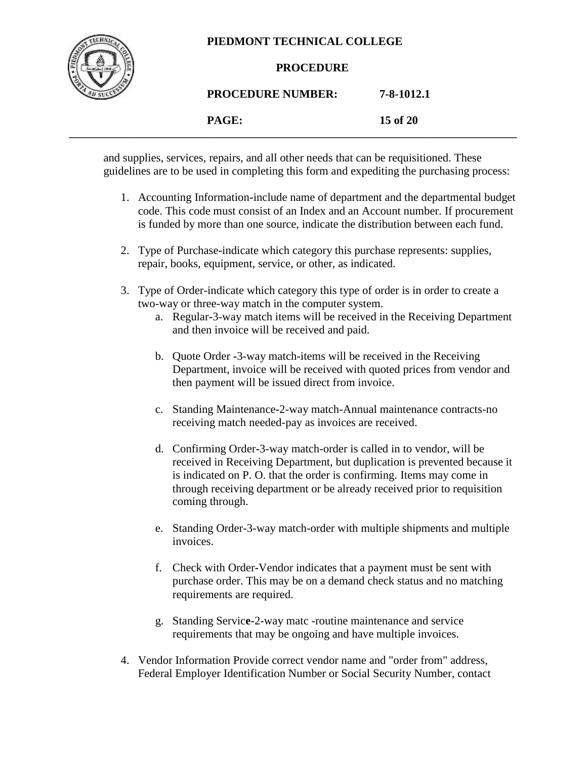

#### **PROCEDURE**

**PROCEDURE NUMBER: 7-8-1012.1 PAGE: 15 of 20**

and supplies, services, repairs, and all other needs that can be requisitioned. These guidelines are to be used in completing this form and expediting the purchasing process:

**\_\_\_\_\_\_\_\_\_\_\_\_\_\_\_\_\_\_\_\_\_\_\_\_\_\_\_\_\_\_\_\_\_\_\_\_\_\_\_\_\_\_\_\_\_\_\_\_\_\_\_\_\_\_\_\_\_\_\_\_\_\_\_\_\_\_\_\_\_\_\_\_\_\_\_\_\_\_\_\_\_\_\_\_\_**

- 1. Accounting Information**-**include name of department and the departmental budget code. This code must consist of an Index and an Account number. If procurement is funded by more than one source, indicate the distribution between each fund.
- 2. Type of Purchase**-**indicate which category this purchase represents: supplies, repair, books, equipment, service, or other, as indicated.
- 3. Type of Order-indicate which category this type of order is in order to create a two-way or three-way match in the computer system.
	- a. Regular**-**3-way match items will be received in the Receiving Department and then invoice will be received and paid.
	- b. Quote Order **-**3-way match-items will be received in the Receiving Department, invoice will be received with quoted prices from vendor and then payment will be issued direct from invoice.
	- c. Standing Maintenance**-**2-way match-Annual maintenance contracts-no receiving match needed-pay as invoices are received.
	- d. Confirming Order**-**3-way match-order is called in to vendor, will be received in Receiving Department, but duplication is prevented because it is indicated on P. O. that the order is confirming. Items may come in through receiving department or be already received prior to requisition coming through.
	- e. Standing Order-3-way match-order with multiple shipments and multiple invoices.
	- f. Check with Order**-**Vendor indicates that a payment must be sent with purchase order. This may be on a demand check status and no matching requirements are required.
	- g. Standing Servic**e-**2-way matc -routine maintenance and service requirements that may be ongoing and have multiple invoices.
- 4. Vendor Information Provide correct vendor name and "order from" address, Federal Employer Identification Number or Social Security Number, contact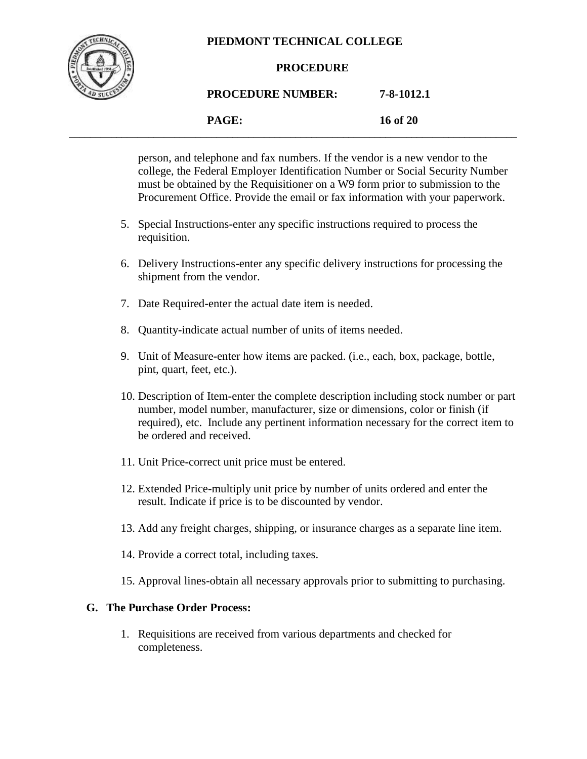

#### **PROCEDURE**

# **PROCEDURE NUMBER: 7-8-1012.1**

#### **PAGE: 16 of 20 \_\_\_\_\_\_\_\_\_\_\_\_\_\_\_\_\_\_\_\_\_\_\_\_\_\_\_\_\_\_\_\_\_\_\_\_\_\_\_\_\_\_\_\_\_\_\_\_\_\_\_\_\_\_\_\_\_\_\_\_\_\_\_\_\_\_\_\_\_\_\_\_\_\_\_\_\_\_\_\_\_\_\_\_\_**

person, and telephone and fax numbers. If the vendor is a new vendor to the college, the Federal Employer Identification Number or Social Security Number must be obtained by the Requisitioner on a W9 form prior to submission to the Procurement Office. Provide the email or fax information with your paperwork.

- 5. Special Instructions**-**enter any specific instructions required to process the requisition.
- 6. Delivery Instructions**-**enter any specific delivery instructions for processing the shipment from the vendor.
- 7. Date Required**-**enter the actual date item is needed.
- 8. Quantity**-**indicate actual number of units of items needed.
- 9. Unit of Measure**-**enter how items are packed. (i.e., each, box, package, bottle, pint, quart, feet, etc.).
- 10. Description of Item**-**enter the complete description including stock number or part number, model number, manufacturer, size or dimensions, color or finish (if required), etc. Include any pertinent information necessary for the correct item to be ordered and received.
- 11. Unit Price**-**correct unit price must be entered.
- 12. Extended Price**-**multiply unit price by number of units ordered and enter the result. Indicate if price is to be discounted by vendor.
- 13. Add any freight charges, shipping, or insurance charges as a separate line item.
- 14. Provide a correct total, including taxes.
- 15. Approval lines-obtain all necessary approvals prior to submitting to purchasing.

# **G. The Purchase Order Process:**

1. Requisitions are received from various departments and checked for completeness.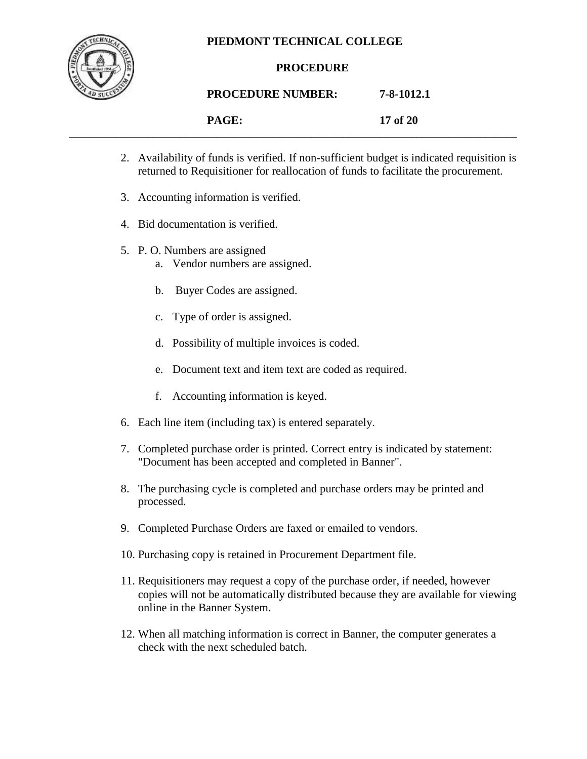

### **PROCEDURE**

# **PROCEDURE NUMBER: 7-8-1012.1**

**PAGE: 17 of 20 \_\_\_\_\_\_\_\_\_\_\_\_\_\_\_\_\_\_\_\_\_\_\_\_\_\_\_\_\_\_\_\_\_\_\_\_\_\_\_\_\_\_\_\_\_\_\_\_\_\_\_\_\_\_\_\_\_\_\_\_\_\_\_\_\_\_\_\_\_\_\_\_\_\_\_\_\_\_\_\_\_\_\_\_\_**

- 2. Availability of funds is verified. If non-sufficient budget is indicated requisition is returned to Requisitioner for reallocation of funds to facilitate the procurement.
- 3. Accounting information is verified.
- 4. Bid documentation is verified.
- 5. P. O. Numbers are assigned
	- a. Vendor numbers are assigned.
	- b. Buyer Codes are assigned.
	- c. Type of order is assigned.
	- d. Possibility of multiple invoices is coded.
	- e. Document text and item text are coded as required.
	- f. Accounting information is keyed.
- 6. Each line item (including tax) is entered separately.
- 7. Completed purchase order is printed. Correct entry is indicated by statement: "Document has been accepted and completed in Banner".
- 8. The purchasing cycle is completed and purchase orders may be printed and processed.
- 9. Completed Purchase Orders are faxed or emailed to vendors.
- 10. Purchasing copy is retained in Procurement Department file.
- 11. Requisitioners may request a copy of the purchase order, if needed, however copies will not be automatically distributed because they are available for viewing online in the Banner System.
- 12. When all matching information is correct in Banner, the computer generates a check with the next scheduled batch.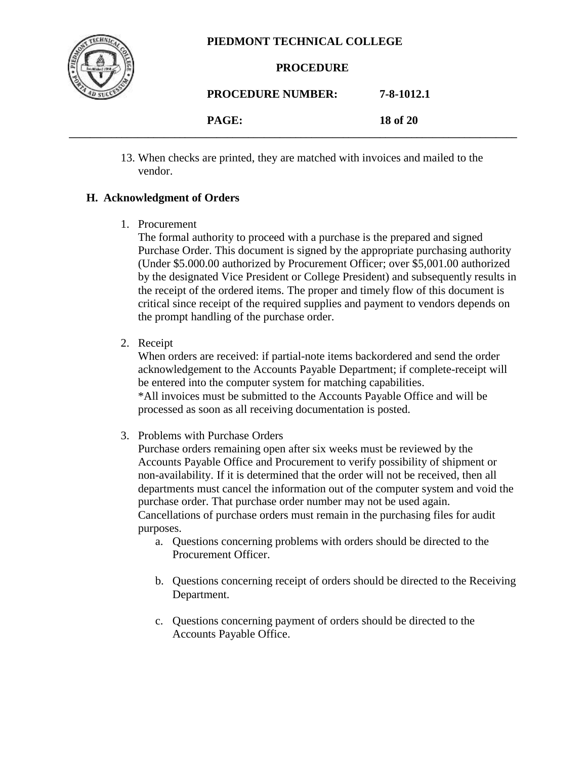

#### **PROCEDURE**

**PROCEDURE NUMBER: 7-8-1012.1**

**PAGE: 18 of 20 \_\_\_\_\_\_\_\_\_\_\_\_\_\_\_\_\_\_\_\_\_\_\_\_\_\_\_\_\_\_\_\_\_\_\_\_\_\_\_\_\_\_\_\_\_\_\_\_\_\_\_\_\_\_\_\_\_\_\_\_\_\_\_\_\_\_\_\_\_\_\_\_\_\_\_\_\_\_\_\_\_\_\_\_\_**

> 13. When checks are printed, they are matched with invoices and mailed to the vendor.

# **H. Acknowledgment of Orders**

1. Procurement

The formal authority to proceed with a purchase is the prepared and signed Purchase Order. This document is signed by the appropriate purchasing authority (Under \$5.000.00 authorized by Procurement Officer; over \$5,001.00 authorized by the designated Vice President or College President) and subsequently results in the receipt of the ordered items. The proper and timely flow of this document is critical since receipt of the required supplies and payment to vendors depends on the prompt handling of the purchase order.

2. Receipt

When orders are received: if partial-note items backordered and send the order acknowledgement to the Accounts Payable Department; if complete-receipt will be entered into the computer system for matching capabilities. \*All invoices must be submitted to the Accounts Payable Office and will be processed as soon as all receiving documentation is posted.

3. Problems with Purchase Orders

Purchase orders remaining open after six weeks must be reviewed by the Accounts Payable Office and Procurement to verify possibility of shipment or non-availability. If it is determined that the order will not be received, then all departments must cancel the information out of the computer system and void the purchase order. That purchase order number may not be used again. Cancellations of purchase orders must remain in the purchasing files for audit purposes.

- a. Questions concerning problems with orders should be directed to the Procurement Officer.
- b. Questions concerning receipt of orders should be directed to the Receiving Department.
- c. Questions concerning payment of orders should be directed to the Accounts Payable Office.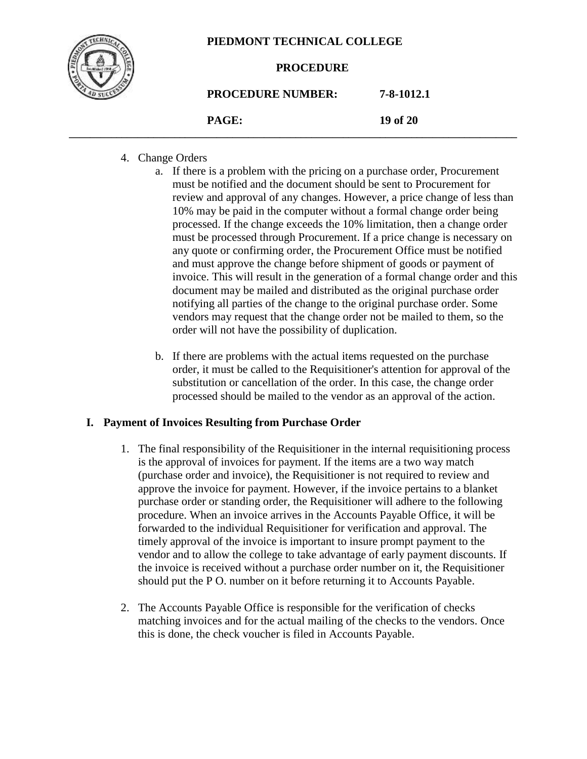

#### **PROCEDURE**

| <b>PROCEDURE NUMBER:</b> | 7-8-1012.1 |
|--------------------------|------------|
| PAGE:                    | 19 of 20   |

**\_\_\_\_\_\_\_\_\_\_\_\_\_\_\_\_\_\_\_\_\_\_\_\_\_\_\_\_\_\_\_\_\_\_\_\_\_\_\_\_\_\_\_\_\_\_\_\_\_\_\_\_\_\_\_\_\_\_\_\_\_\_\_\_\_\_\_\_\_\_\_\_\_\_\_\_\_\_\_\_\_\_\_\_\_**

### 4. Change Orders

- a. If there is a problem with the pricing on a purchase order, Procurement must be notified and the document should be sent to Procurement for review and approval of any changes. However, a price change of less than 10% may be paid in the computer without a formal change order being processed. If the change exceeds the 10% limitation, then a change order must be processed through Procurement. If a price change is necessary on any quote or confirming order, the Procurement Office must be notified and must approve the change before shipment of goods or payment of invoice. This will result in the generation of a formal change order and this document may be mailed and distributed as the original purchase order notifying all parties of the change to the original purchase order. Some vendors may request that the change order not be mailed to them, so the order will not have the possibility of duplication.
- b. If there are problems with the actual items requested on the purchase order, it must be called to the Requisitioner's attention for approval of the substitution or cancellation of the order. In this case, the change order processed should be mailed to the vendor as an approval of the action.

#### **I. Payment of Invoices Resulting from Purchase Order**

- 1. The final responsibility of the Requisitioner in the internal requisitioning process is the approval of invoices for payment. If the items are a two way match (purchase order and invoice), the Requisitioner is not required to review and approve the invoice for payment. However, if the invoice pertains to a blanket purchase order or standing order, the Requisitioner will adhere to the following procedure. When an invoice arrives in the Accounts Payable Office, it will be forwarded to the individual Requisitioner for verification and approval. The timely approval of the invoice is important to insure prompt payment to the vendor and to allow the college to take advantage of early payment discounts. If the invoice is received without a purchase order number on it, the Requisitioner should put the P O. number on it before returning it to Accounts Payable.
- 2. The Accounts Payable Office is responsible for the verification of checks matching invoices and for the actual mailing of the checks to the vendors. Once this is done, the check voucher is filed in Accounts Payable.